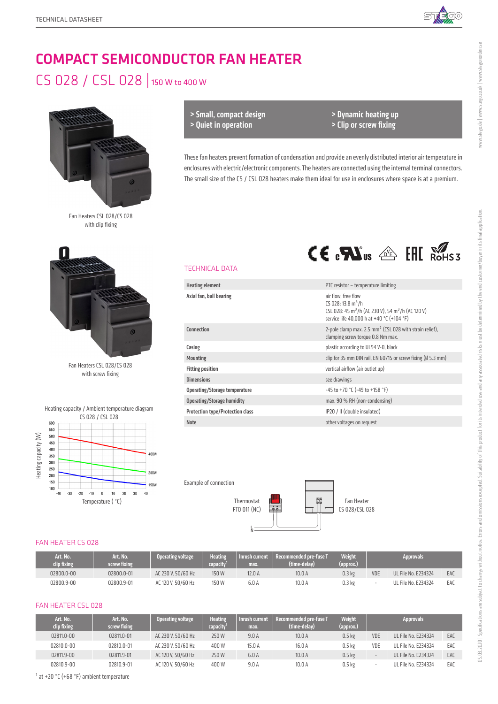

# COMPACT SEMICONDUCTOR FAN HEATER

# CS 028 / CSL 028 | 150 W to 400 W



Fan Heaters CSL 028/CS 028 with clip fixing

> Small, compact design > Quiet in operation

> Dynamic heating up > Clip or screw fixing

 $CE \cdot \mathbf{N}_{us} \triangleq \textbf{HH} \times \textbf{M}_{S3}$ 

These fan heaters prevent formation of condensation and provide an evenly distributed interior air temperature in enclosures with electric/electronic components. The heaters are connected using the internal terminal connectors. The small size of the CS / CSL 028 heaters make them ideal for use in enclosures where space is at a premium.



Fan Heaters CSL 028/CS 028 with screw fixing



# TECHNICAL DATA

| <b>Heating element</b>                  | PTC resistor - temperature limiting                                                                                                                                                 |
|-----------------------------------------|-------------------------------------------------------------------------------------------------------------------------------------------------------------------------------------|
| Axial fan, ball bearing                 | air flow, free flow<br>CS 028: 13.8 $\text{m}^3/\text{h}$<br>CSL 028: 45 m <sup>3</sup> /h (AC 230 V), 54 m <sup>3</sup> /h (AC 120 V)<br>service life 40.000 h at +40 °C (+104 °F) |
| Connection                              | 2-pole clamp max. 2.5 mm <sup>2</sup> (CSL 028 with strain relief),<br>clamping screw torque 0.8 Nm max.                                                                            |
| Casing                                  | plastic according to UL94 V-0, black                                                                                                                                                |
| <b>Mounting</b>                         | clip for 35 mm DIN rail, EN 60715 or screw fixing (Ø 5.3 mm)                                                                                                                        |
| <b>Fitting position</b>                 | vertical airflow (air outlet up)                                                                                                                                                    |
| <b>Dimensions</b>                       | see drawings                                                                                                                                                                        |
| Operating/Storage temperature           | $-45$ to $+70$ °C (-49 to $+158$ °F)                                                                                                                                                |
| <b>Operating/Storage humidity</b>       | max. 90 % RH (non-condensing)                                                                                                                                                       |
| <b>Protection type/Protection class</b> | IP20 / II (double insulated)                                                                                                                                                        |
| <b>Note</b>                             | other voltages on request                                                                                                                                                           |



#### FAN HEATER CS 028

| Art. No.<br>clip fixing | Art. No.<br>screw fixing | <b>Operating voltage</b> | <b>Heating</b><br>capacity <sup>3</sup> | Inrush current<br>max. | l   Recommended pre-fuse T<br>(time-delay) | <b>Weight</b><br>(approx.) |     | Approvals           |     |
|-------------------------|--------------------------|--------------------------|-----------------------------------------|------------------------|--------------------------------------------|----------------------------|-----|---------------------|-----|
| 02800.0-00              | 02800.0-01               | AC 230 V. 50/60 Hz       | 150 W                                   | 12.0 A                 | 10.0A                                      | 0.3 <sub>k</sub>           | VDE | UL File No. E234324 | EAC |
| 02800.9-00              | 02800.9-01               | AC 120 V, 50/60 Hz       | 150 W                                   | 6.0A                   | 10.0 A                                     | $0.3$ kg                   |     | UL File No. E234324 | EAC |

#### FAN HEATER CSL 028

| Art. No.<br>clip fixing | Art. No.<br>screw fixing | <b>Operating voltage</b> | <b>Heating</b><br>capacity | Inrush current<br>max. | <b>Recommended pre-fuse T</b><br>(time-delay) | <b>Weight</b><br>(approx.) |     | <b>Approvals</b>    |     |
|-------------------------|--------------------------|--------------------------|----------------------------|------------------------|-----------------------------------------------|----------------------------|-----|---------------------|-----|
| 02811.0-00              | 02811.0-01               | AC 230 V, 50/60 Hz       | 250 W                      | 9.0A                   | 10.0A                                         | 0.5 <sub>kg</sub>          | VDE | UL File No. E234324 | EAC |
| 02810.0-00              | 02810.0-01               | AC 230 V. 50/60 Hz       | 400W                       | 15.0 A                 | 16.0 A                                        | 0.5 <sub>kg</sub>          | VDE | UL File No. E234324 | EA0 |
| 02811.9-00              | 02811.9-01               | AC 120 V. 50/60 Hz       | 250 W                      | 6.0A                   | 10.0A                                         | 0.5 <sub>kg</sub>          |     | UL File No. E234324 | EAC |
| 02810.9-00              | 02810.9-01               | AC 120 V. 50/60 Hz       | 400W                       | 9.0A                   | 10.0A                                         | 0.5 <sub>kg</sub>          |     | UL File No. E234324 | EAC |

 $1$  at +20 °C (+68 °F) ambient temperature